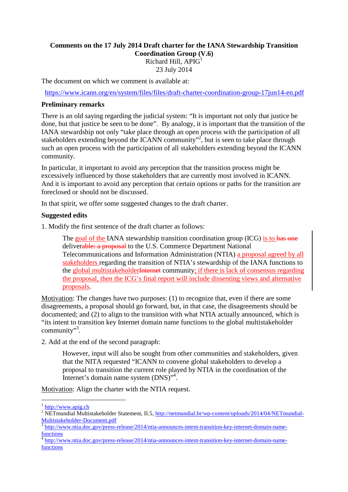## **Comments on the 17 July 2014 Draft charter for the IANA Stewardship Transition Coordination Group (V.6)** Richard Hill,  $APIG<sup>1</sup>$ 23 July 2014

The document on which we comment is available at:

https://www.icann.org/en/system/files/files/draft-charter-coordination-group-17jun14-en.pdf

## **Preliminary remarks**

There is an old saying regarding the judicial system: "It is important not only that justice be done, but that justice be seen to be done". By analogy, it is important that the transition of the IANA stewardship not only "take place through an open process with the participation of all stakeholders extending beyond the ICANN community"<sup>2</sup>, but is seen to take place through such an open process with the participation of all stakeholders extending beyond the ICANN community.

In particular, it important to avoid any perception that the transition process might be excessively influenced by those stakeholders that are currently most involved in ICANN. And it is important to avoid any perception that certain options or paths for the transition are foreclosed or should not be discussed.

In that spirit, we offer some suggested changes to the draft charter.

## **Suggested edits**

1. Modify the first sentence of the draft charter as follows:

The goal of the IANA stewardship transition coordination group (ICG) is to has one deliverable: a proposal to the U.S. Commerce Department National Telecommunications and Information Administration (NTIA) a proposal agreed by all stakeholders regarding the transition of NTIA's stewardship of the IANA functions to the global multistakeholderInternet community; if there is lack of consensus regarding the proposal, then the ICG's final report will include dissenting views and alternative proposals.

Motivation: The changes have two purposes: (1) to recognize that, even if there are some disagreements, a proposal should go forward, but, in that case, the disagreements should be documented; and (2) to align to the transition with what NTIA actually announced, which is "its intent to transition key Internet domain name functions to the global multistakeholder community"<sup>3</sup>.

2. Add at the end of the second paragraph:

However, input will also be sought from other communities and stakeholders, given that the NITA requested "ICANN to convene global stakeholders to develop a proposal to transition the current role played by NTIA in the coordination of the Internet's domain name system (DNS)".<sup>4</sup>.

Motivation: Align the charter with the NTIA request.

 $\overline{a}$ 

<sup>&</sup>lt;sup>1</sup> http://www.apig.ch

<sup>&</sup>lt;sup>2</sup> NETmundial Multistakeholder Statement, II.5, http://netmundial.br/wp-content/uploads/2014/04/NETmundial-Multistakeholder-Document.pdf

<sup>3</sup> http://www.ntia.doc.gov/press-release/2014/ntia-announces-intent-transition-key-internet-domain-namefunctions

<sup>4</sup> http://www.ntia.doc.gov/press-release/2014/ntia-announces-intent-transition-key-internet-domain-namefunctions